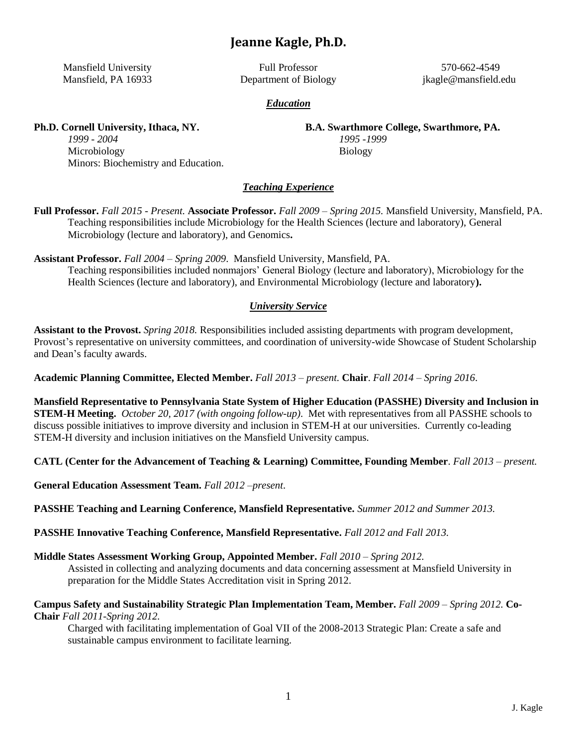# **Jeanne Kagle, Ph.D.**

Mansfield University Mansfield, PA 16933

Full Professor Department of Biology

570-662-4549 jkagle@mansfield.edu

#### *Education*

**Ph.D. Cornell University, Ithaca, NY.**

**B.A. Swarthmore College, Swarthmore, PA.** *1995 -1999* Biology

*1999 - 2004* Microbiology Minors: Biochemistry and Education.

#### *Teaching Experience*

**Full Professor.** *Fall 2015 - Present.* **Associate Professor.** *Fall 2009 – Spring 2015.* Mansfield University, Mansfield, PA. Teaching responsibilities include Microbiology for the Health Sciences (lecture and laboratory), General Microbiology (lecture and laboratory), and Genomics**.**

**Assistant Professor.** *Fall 2004 – Spring 2009*. Mansfield University, Mansfield, PA. Teaching responsibilities included nonmajors' General Biology (lecture and laboratory), Microbiology for the Health Sciences (lecture and laboratory), and Environmental Microbiology (lecture and laboratory**).**

#### *University Service*

**Assistant to the Provost.** *Spring 2018.* Responsibilities included assisting departments with program development, Provost's representative on university committees, and coordination of university-wide Showcase of Student Scholarship and Dean's faculty awards.

**Academic Planning Committee, Elected Member.** *Fall 2013 – present.* **Chair**. *Fall 2014 – Spring 2016*.

**Mansfield Representative to Pennsylvania State System of Higher Education (PASSHE) Diversity and Inclusion in STEM-H Meeting.** *October 20, 2017 (with ongoing follow-up)*. Met with representatives from all PASSHE schools to discuss possible initiatives to improve diversity and inclusion in STEM-H at our universities. Currently co-leading STEM-H diversity and inclusion initiatives on the Mansfield University campus.

**CATL (Center for the Advancement of Teaching & Learning) Committee, Founding Member**. *Fall 2013 – present.*

**General Education Assessment Team.** *Fall 2012 –present*.

**PASSHE Teaching and Learning Conference, Mansfield Representative.** *Summer 2012 and Summer 2013.*

**PASSHE Innovative Teaching Conference, Mansfield Representative.** *Fall 2012 and Fall 2013.*

**Middle States Assessment Working Group, Appointed Member.** *Fall 2010 – Spring 2012.*

Assisted in collecting and analyzing documents and data concerning assessment at Mansfield University in preparation for the Middle States Accreditation visit in Spring 2012.

**Campus Safety and Sustainability Strategic Plan Implementation Team, Member.** *Fall 2009 – Spring 2012.* **Co-Chair** *Fall 2011-Spring 2012.*

Charged with facilitating implementation of Goal VII of the 2008-2013 Strategic Plan: Create a safe and sustainable campus environment to facilitate learning.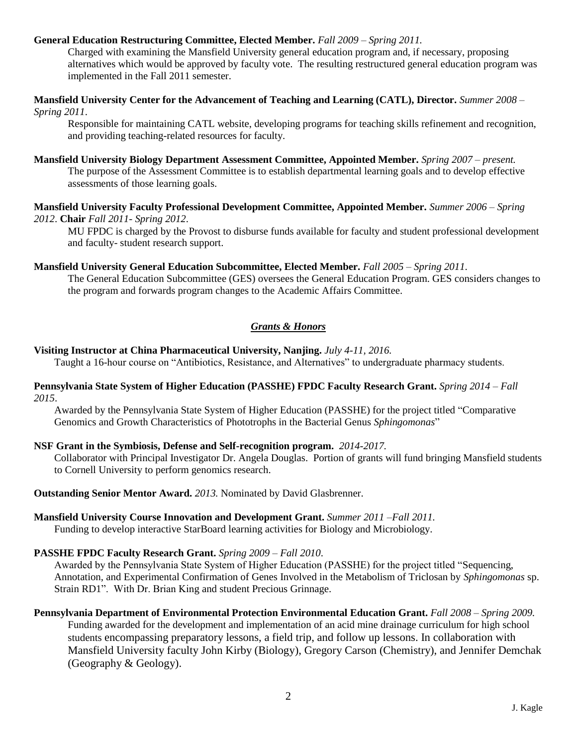#### **General Education Restructuring Committee, Elected Member.** *Fall 2009 – Spring 2011.*

Charged with examining the Mansfield University general education program and, if necessary, proposing alternatives which would be approved by faculty vote. The resulting restructured general education program was implemented in the Fall 2011 semester.

**Mansfield University Center for the Advancement of Teaching and Learning (CATL), Director.** *Summer 2008 – Spring 2011*.

Responsible for maintaining CATL website, developing programs for teaching skills refinement and recognition, and providing teaching-related resources for faculty.

#### **Mansfield University Biology Department Assessment Committee, Appointed Member.** *Spring 2007 – present.*

The purpose of the Assessment Committee is to establish departmental learning goals and to develop effective assessments of those learning goals.

#### **Mansfield University Faculty Professional Development Committee, Appointed Member.** *Summer 2006 – Spring 2012*. **Chair** *Fall 2011- Spring 2012*.

MU FPDC is charged by the Provost to disburse funds available for faculty and student professional development and faculty- student research support.

#### **Mansfield University General Education Subcommittee, Elected Member.** *Fall 2005 – Spring 2011*.

The General Education Subcommittee (GES) oversees the General Education Program. GES considers changes to the program and forwards program changes to the Academic Affairs Committee.

## *Grants & Honors*

#### **Visiting Instructor at China Pharmaceutical University, Nanjing.** *July 4-11, 2016.*

Taught a 16-hour course on "Antibiotics, Resistance, and Alternatives" to undergraduate pharmacy students.

#### **Pennsylvania State System of Higher Education (PASSHE) FPDC Faculty Research Grant.** *Spring 2014 – Fall 2015*.

Awarded by the Pennsylvania State System of Higher Education (PASSHE) for the project titled "Comparative Genomics and Growth Characteristics of Phototrophs in the Bacterial Genus *Sphingomonas*"

#### **NSF Grant in the Symbiosis, Defense and Self-recognition program.** *2014-2017.*

Collaborator with Principal Investigator Dr. Angela Douglas. Portion of grants will fund bringing Mansfield students to Cornell University to perform genomics research.

**Outstanding Senior Mentor Award.** *2013.* Nominated by David Glasbrenner.

#### **Mansfield University Course Innovation and Development Grant.** *Summer 2011 –Fall 2011.*

Funding to develop interactive StarBoard learning activities for Biology and Microbiology.

#### **PASSHE FPDC Faculty Research Grant.** *Spring 2009 – Fall 2010*.

Awarded by the Pennsylvania State System of Higher Education (PASSHE) for the project titled "Sequencing, Annotation, and Experimental Confirmation of Genes Involved in the Metabolism of Triclosan by *Sphingomonas* sp. Strain RD1". With Dr. Brian King and student Precious Grinnage.

**Pennsylvania Department of Environmental Protection Environmental Education Grant.** *Fall 2008 – Spring 2009.* Funding awarded for the development and implementation of an acid mine drainage curriculum for high school students encompassing preparatory lessons, a field trip, and follow up lessons. In collaboration with Mansfield University faculty John Kirby (Biology), Gregory Carson (Chemistry), and Jennifer Demchak (Geography & Geology).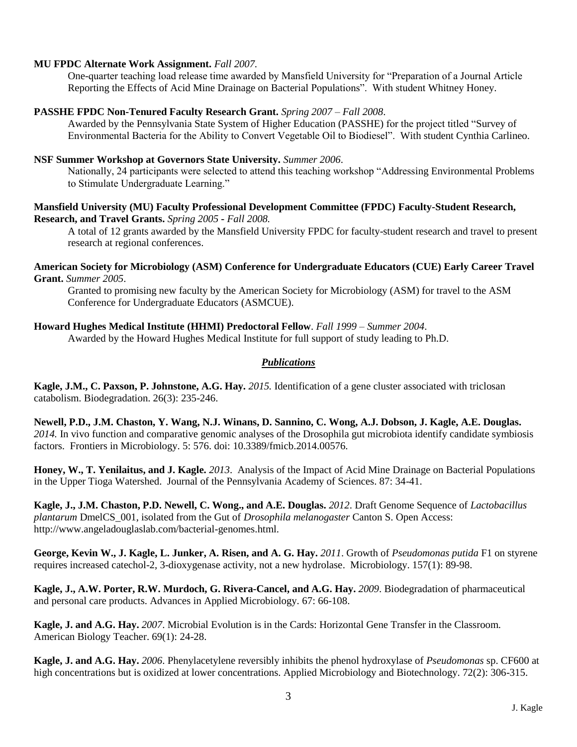#### **MU FPDC Alternate Work Assignment.** *Fall 2007.*

One-quarter teaching load release time awarded by Mansfield University for "Preparation of a Journal Article Reporting the Effects of Acid Mine Drainage on Bacterial Populations". With student Whitney Honey.

#### **PASSHE FPDC Non-Tenured Faculty Research Grant.** *Spring 2007 – Fall 2008*.

Awarded by the Pennsylvania State System of Higher Education (PASSHE) for the project titled "Survey of Environmental Bacteria for the Ability to Convert Vegetable Oil to Biodiesel". With student Cynthia Carlineo.

#### **NSF Summer Workshop at Governors State University.** *Summer 2006*.

Nationally, 24 participants were selected to attend this teaching workshop "Addressing Environmental Problems to Stimulate Undergraduate Learning."

#### **Mansfield University (MU) Faculty Professional Development Committee (FPDC) Faculty-Student Research, Research, and Travel Grants.** *Spring 2005* **-** *Fall 2008.*

A total of 12 grants awarded by the Mansfield University FPDC for faculty-student research and travel to present research at regional conferences.

#### **American Society for Microbiology (ASM) Conference for Undergraduate Educators (CUE) Early Career Travel Grant.** *Summer 2005*.

Granted to promising new faculty by the American Society for Microbiology (ASM) for travel to the ASM Conference for Undergraduate Educators (ASMCUE).

#### **Howard Hughes Medical Institute (HHMI) Predoctoral Fellow**. *Fall 1999 – Summer 2004*.

Awarded by the Howard Hughes Medical Institute for full support of study leading to Ph.D.

### *Publications*

**Kagle, J.M., C. Paxson, P. Johnstone, A.G. Hay. 2015.** Identification of a gene cluster associated with triclosan catabolism. Biodegradation. 26(3): 235-246.

**Newell, P.D., J.M. Chaston, Y. Wang, N.J. Winans, D. Sannino, C. Wong, A.J. Dobson, J. Kagle, A.E. Douglas.** *2014.* In vivo function and comparative genomic analyses of the Drosophila gut microbiota identify candidate symbiosis factors. Frontiers in Microbiology. 5: 576. doi: 10.3389/fmicb.2014.00576.

**Honey, W., T. Yenilaitus, and J. Kagle.** *2013*. Analysis of the Impact of Acid Mine Drainage on Bacterial Populations in the Upper Tioga Watershed. Journal of the Pennsylvania Academy of Sciences. 87: 34-41.

**Kagle, J., J.M. Chaston, P.D. Newell, C. Wong., and A.E. Douglas.** *2012*. Draft Genome Sequence of *Lactobacillus plantarum* DmelCS\_001, isolated from the Gut of *Drosophila melanogaster* Canton S. Open Access: http://www.angeladouglaslab.com/bacterial-genomes.html.

**George, Kevin W., J. Kagle, L. Junker, A. Risen, and A. G. Hay.** *2011*. Growth of *Pseudomonas putida* F1 on styrene requires increased catechol-2, 3-dioxygenase activity, not a new hydrolase. Microbiology. 157(1): 89-98.

**Kagle, J., A.W. Porter, R.W. Murdoch, G. Rivera-Cancel, and A.G. Hay.** *2009*. Biodegradation of pharmaceutical and personal care products. Advances in Applied Microbiology. 67: 66-108.

**Kagle, J. and A.G. Hay.** *2007*. Microbial Evolution is in the Cards: Horizontal Gene Transfer in the Classroom. American Biology Teacher. 69(1): 24-28.

**Kagle, J. and A.G. Hay.** *2006*. Phenylacetylene reversibly inhibits the phenol hydroxylase of *Pseudomonas* sp. CF600 at high concentrations but is oxidized at lower concentrations. Applied Microbiology and Biotechnology. 72(2): 306-315.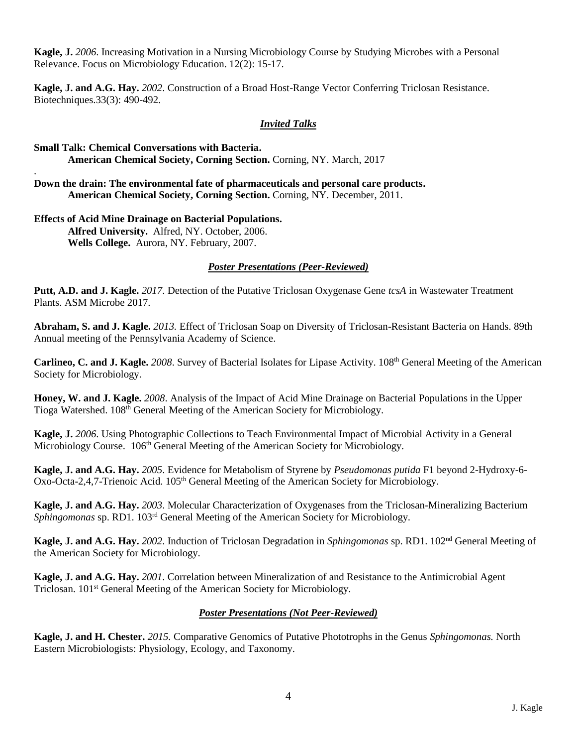**Kagle, J.** *2006*. Increasing Motivation in a Nursing Microbiology Course by Studying Microbes with a Personal Relevance. Focus on Microbiology Education. 12(2): 15-17.

**Kagle, J. and A.G. Hay.** *2002*. Construction of a Broad Host-Range Vector Conferring Triclosan Resistance. Biotechniques.33(3): 490-492.

#### *Invited Talks*

### **Small Talk: Chemical Conversations with Bacteria. American Chemical Society, Corning Section.** Corning, NY. March, 2017

**Down the drain: The environmental fate of pharmaceuticals and personal care products. American Chemical Society, Corning Section.** Corning, NY. December, 2011.

## **Effects of Acid Mine Drainage on Bacterial Populations. Alfred University.** Alfred, NY. October, 2006.

.

**Wells College.** Aurora, NY. February, 2007.

## *Poster Presentations (Peer-Reviewed)*

**Putt, A.D. and J. Kagle.** *2017*. Detection of the Putative Triclosan Oxygenase Gene *tcsA* in Wastewater Treatment Plants. ASM Microbe 2017.

**Abraham, S. and J. Kagle.** *2013.* Effect of Triclosan Soap on Diversity of Triclosan-Resistant Bacteria on Hands. 89th Annual meeting of the Pennsylvania Academy of Science.

**Carlineo, C. and J. Kagle.** *2008*. Survey of Bacterial Isolates for Lipase Activity. 108th General Meeting of the American Society for Microbiology.

**Honey, W. and J. Kagle.** *2008*. Analysis of the Impact of Acid Mine Drainage on Bacterial Populations in the Upper Tioga Watershed. 108<sup>th</sup> General Meeting of the American Society for Microbiology.

**Kagle, J.** *2006*. Using Photographic Collections to Teach Environmental Impact of Microbial Activity in a General Microbiology Course.  $106<sup>th</sup>$  General Meeting of the American Society for Microbiology.

**Kagle, J. and A.G. Hay.** *2005*. Evidence for Metabolism of Styrene by *Pseudomonas putida* F1 beyond 2-Hydroxy-6- Oxo-Octa-2,4,7-Trienoic Acid. 105<sup>th</sup> General Meeting of the American Society for Microbiology.

**Kagle, J. and A.G. Hay.** *2003*. Molecular Characterization of Oxygenases from the Triclosan-Mineralizing Bacterium *Sphingomonas* sp. RD1. 103rd General Meeting of the American Society for Microbiology.

**Kagle, J. and A.G. Hay.** *2002*. Induction of Triclosan Degradation in *Sphingomonas* sp. RD1. 102nd General Meeting of the American Society for Microbiology.

**Kagle, J. and A.G. Hay.** *2001*. Correlation between Mineralization of and Resistance to the Antimicrobial Agent Triclosan. 101st General Meeting of the American Society for Microbiology.

## *Poster Presentations (Not Peer-Reviewed)*

**Kagle, J. and H. Chester.** *2015.* Comparative Genomics of Putative Phototrophs in the Genus *Sphingomonas.* North Eastern Microbiologists: Physiology, Ecology, and Taxonomy.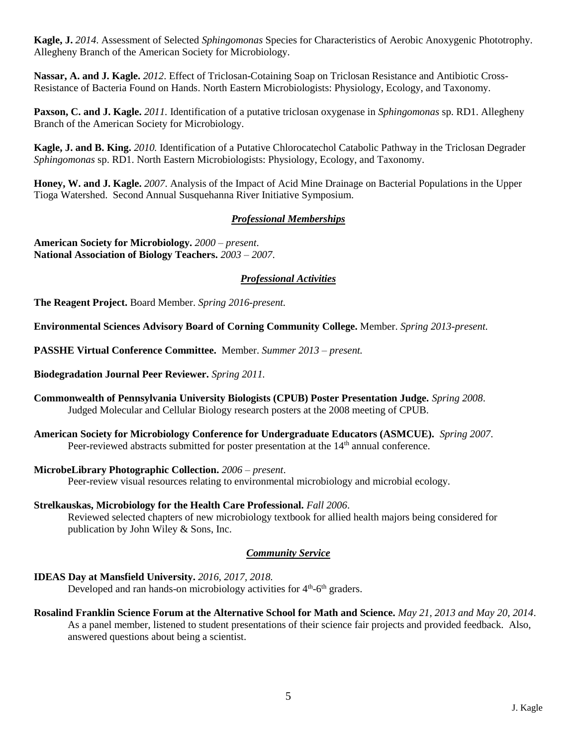**Kagle, J.** *2014*. Assessment of Selected *Sphingomonas* Species for Characteristics of Aerobic Anoxygenic Phototrophy. Allegheny Branch of the American Society for Microbiology.

**Nassar, A. and J. Kagle.** *2012*. Effect of Triclosan-Cotaining Soap on Triclosan Resistance and Antibiotic Cross-Resistance of Bacteria Found on Hands. North Eastern Microbiologists: Physiology, Ecology, and Taxonomy.

**Paxson, C. and J. Kagle.** *2011.* Identification of a putative triclosan oxygenase in *Sphingomonas* sp. RD1. Allegheny Branch of the American Society for Microbiology.

**Kagle, J. and B. King.** *2010.* Identification of a Putative Chlorocatechol Catabolic Pathway in the Triclosan Degrader *Sphingomonas* sp. RD1. North Eastern Microbiologists: Physiology, Ecology, and Taxonomy.

**Honey, W. and J. Kagle.** *2007*. Analysis of the Impact of Acid Mine Drainage on Bacterial Populations in the Upper Tioga Watershed. Second Annual Susquehanna River Initiative Symposium.

#### *Professional Memberships*

**American Society for Microbiology.** *2000 – present*. **National Association of Biology Teachers.** *2003 – 2007*.

#### *Professional Activities*

**The Reagent Project.** Board Member. *Spring 2016-present.*

**Environmental Sciences Advisory Board of Corning Community College.** Member. *Spring 2013-present.*

**PASSHE Virtual Conference Committee.** Member. *Summer 2013 – present.*

**Biodegradation Journal Peer Reviewer.** *Spring 2011.*

- **Commonwealth of Pennsylvania University Biologists (CPUB) Poster Presentation Judge.** *Spring 2008*. Judged Molecular and Cellular Biology research posters at the 2008 meeting of CPUB.
- **American Society for Microbiology Conference for Undergraduate Educators (ASMCUE).** *Spring 2007*. Peer-reviewed abstracts submitted for poster presentation at the 14<sup>th</sup> annual conference.
- **MicrobeLibrary Photographic Collection.** *2006 – present*.

Peer-review visual resources relating to environmental microbiology and microbial ecology.

**Strelkauskas, Microbiology for the Health Care Professional.** *Fall 2006*. Reviewed selected chapters of new microbiology textbook for allied health majors being considered for publication by John Wiley & Sons, Inc.

#### *Community Service*

**IDEAS Day at Mansfield University.** *2016, 2017, 2018.*

Developed and ran hands-on microbiology activities for 4<sup>th</sup>-6<sup>th</sup> graders.

**Rosalind Franklin Science Forum at the Alternative School for Math and Science.** *May 21, 2013 and May 20, 2014*. As a panel member, listened to student presentations of their science fair projects and provided feedback. Also, answered questions about being a scientist.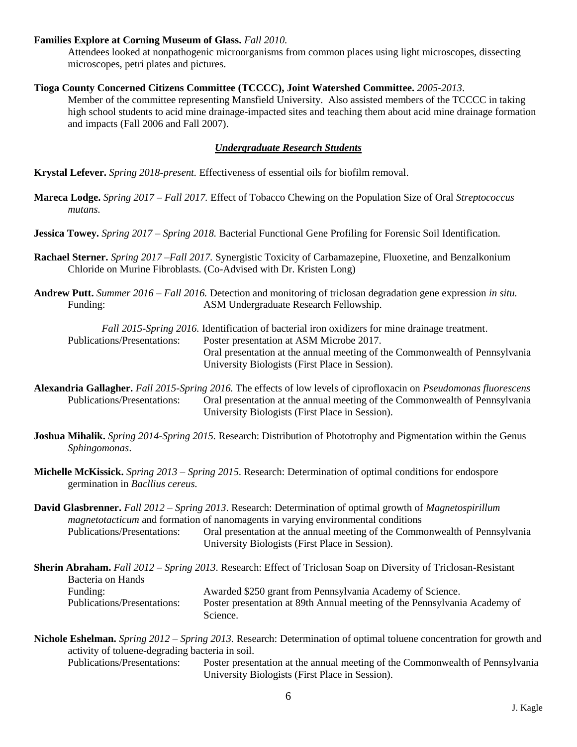#### **Families Explore at Corning Museum of Glass.** *Fall 2010.*

Attendees looked at nonpathogenic microorganisms from common places using light microscopes, dissecting microscopes, petri plates and pictures.

#### **Tioga County Concerned Citizens Committee (TCCCC), Joint Watershed Committee.** *2005-2013*.

Member of the committee representing Mansfield University. Also assisted members of the TCCCC in taking high school students to acid mine drainage-impacted sites and teaching them about acid mine drainage formation and impacts (Fall 2006 and Fall 2007).

#### *Undergraduate Research Students*

**Krystal Lefever.** *Spring 2018-present.* Effectiveness of essential oils for biofilm removal.

**Mareca Lodge.** *Spring 2017 – Fall 2017.* Effect of Tobacco Chewing on the Population Size of Oral *Streptococcus mutans.*

**Jessica Towey.** *Spring 2017 – Spring 2018.* Bacterial Functional Gene Profiling for Forensic Soil Identification.

- **Rachael Sterner.** *Spring 2017 –Fall 2017.* Synergistic Toxicity of Carbamazepine, Fluoxetine, and Benzalkonium Chloride on Murine Fibroblasts. (Co-Advised with Dr. Kristen Long)
- **Andrew Putt.** *Summer 2016 – Fall 2016.* Detection and monitoring of triclosan degradation gene expression *in situ.* Funding: ASM Undergraduate Research Fellowship.

*Fall 2015-Spring 2016.* Identification of bacterial iron oxidizers for mine drainage treatment. Publications/Presentations: Poster presentation at ASM Microbe 2017. Oral presentation at the annual meeting of the Commonwealth of Pennsylvania University Biologists (First Place in Session).

**Alexandria Gallagher.** *Fall 2015-Spring 2016.* The effects of low levels of ciprofloxacin on *Pseudomonas fluorescens* Publications/Presentations: Oral presentation at the annual meeting of the Commonwealth of Pennsylvania University Biologists (First Place in Session).

- **Joshua Mihalik.** *Spring 2014-Spring 2015.* Research: Distribution of Phototrophy and Pigmentation within the Genus *Sphingomonas*.
- **Michelle McKissick.** *Spring 2013 – Spring 2015*. Research: Determination of optimal conditions for endospore germination in *Bacllius cereus.*

**David Glasbrenner.** *Fall 2012 – Spring 2013*. Research: Determination of optimal growth of *Magnetospirillum magnetotacticum* and formation of nanomagents in varying environmental conditions Publications/Presentations: Oral presentation at the annual meeting of the Commonwealth of Pennsylvania University Biologists (First Place in Session).

|                             | <b>Sherin Abraham.</b> Fall 2012 – Spring 2013. Research: Effect of Triclosan Soap on Diversity of Triclosan-Resistant |
|-----------------------------|------------------------------------------------------------------------------------------------------------------------|
| Bacteria on Hands           |                                                                                                                        |
| Funding:                    | Awarded \$250 grant from Pennsylvania Academy of Science.                                                              |
| Publications/Presentations: | Poster presentation at 89th Annual meeting of the Pennsylvania Academy of                                              |
|                             | <b>Science</b>                                                                                                         |

**Nichole Eshelman.** *Spring 2012 – Spring 2013.* Research: Determination of optimal toluene concentration for growth and activity of toluene-degrading bacteria in soil. Publications/Presentations: Poster presentation at the annual meeting of the Commonwealth of Pennsylvania University Biologists (First Place in Session).